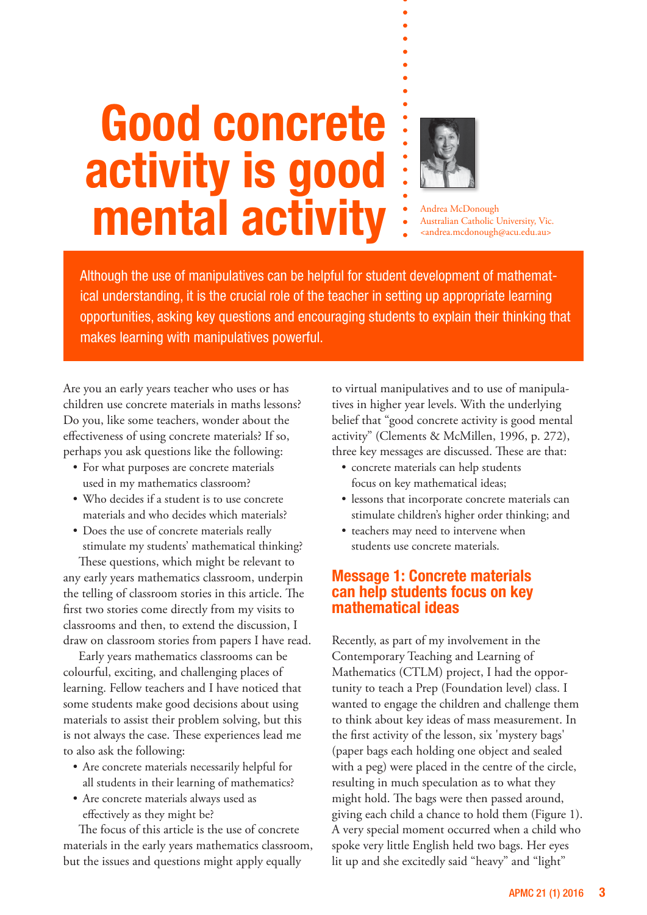# **Good concrete activity is good mental activity** : Andrea McDonough



Australian Catholic University, Vic. <andrea.mcdonough@acu.edu.au>

Although the use of manipulatives can be helpful for student development of mathematical understanding, it is the crucial role of the teacher in setting up appropriate learning opportunities, asking key questions and encouraging students to explain their thinking that makes learning with manipulatives powerful.

Are you an early years teacher who uses or has children use concrete materials in maths lessons? Do you, like some teachers, wonder about the effectiveness of using concrete materials? If so, perhaps you ask questions like the following:

- For what purposes are concrete materials used in my mathematics classroom?
- • Who decides if a student is to use concrete materials and who decides which materials?
- Does the use of concrete materials really stimulate my students' mathematical thinking?

These questions, which might be relevant to any early years mathematics classroom, underpin the telling of classroom stories in this article. The first two stories come directly from my visits to classrooms and then, to extend the discussion, I draw on classroom stories from papers I have read.

Early years mathematics classrooms can be colourful, exciting, and challenging places of learning. Fellow teachers and I have noticed that some students make good decisions about using materials to assist their problem solving, but this is not always the case. These experiences lead me to also ask the following:

- Are concrete materials necessarily helpful for all students in their learning of mathematics?
- • Are concrete materials always used as effectively as they might be?

The focus of this article is the use of concrete materials in the early years mathematics classroom, but the issues and questions might apply equally

to virtual manipulatives and to use of manipulatives in higher year levels. With the underlying belief that "good concrete activity is good mental activity" (Clements & McMillen, 1996, p. 272), three key messages are discussed. These are that:

- • concrete materials can help students focus on key mathematical ideas;
- lessons that incorporate concrete materials can stimulate children's higher order thinking; and
- teachers may need to intervene when students use concrete materials.

## **Message 1: Concrete materials can help students focus on key mathematical ideas**

Recently, as part of my involvement in the Contemporary Teaching and Learning of Mathematics (CTLM) project, I had the opportunity to teach a Prep (Foundation level) class. I wanted to engage the children and challenge them to think about key ideas of mass measurement. In the first activity of the lesson, six 'mystery bags' (paper bags each holding one object and sealed with a peg) were placed in the centre of the circle, resulting in much speculation as to what they might hold. The bags were then passed around, giving each child a chance to hold them (Figure 1). A very special moment occurred when a child who spoke very little English held two bags. Her eyes lit up and she excitedly said "heavy" and "light"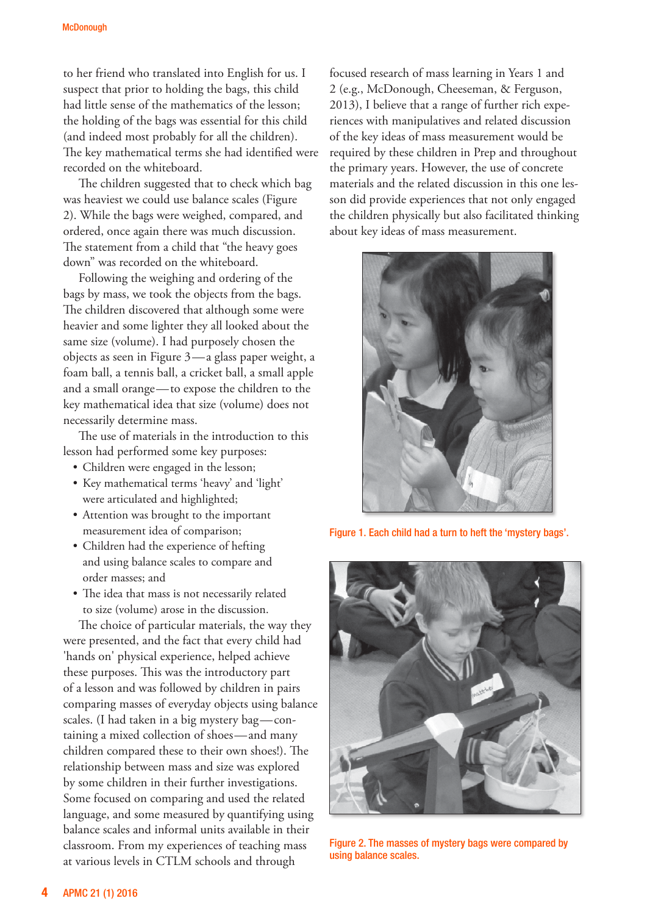to her friend who translated into English for us. I suspect that prior to holding the bags, this child had little sense of the mathematics of the lesson; the holding of the bags was essential for this child (and indeed most probably for all the children). The key mathematical terms she had identified were recorded on the whiteboard.

The children suggested that to check which bag was heaviest we could use balance scales (Figure 2). While the bags were weighed, compared, and ordered, once again there was much discussion. The statement from a child that "the heavy goes down" was recorded on the whiteboard.

Following the weighing and ordering of the bags by mass, we took the objects from the bags. The children discovered that although some were heavier and some lighter they all looked about the same size (volume). I had purposely chosen the objects as seen in Figure 3—a glass paper weight, a foam ball, a tennis ball, a cricket ball, a small apple and a small orange—to expose the children to the key mathematical idea that size (volume) does not necessarily determine mass.

The use of materials in the introduction to this lesson had performed some key purposes:

- • Children were engaged in the lesson;
- • Key mathematical terms 'heavy' and 'light' were articulated and highlighted;
- Attention was brought to the important measurement idea of comparison;
- • Children had the experience of hefting and using balance scales to compare and order masses; and
- The idea that mass is not necessarily related to size (volume) arose in the discussion.

The choice of particular materials, the way they were presented, and the fact that every child had 'hands on' physical experience, helped achieve these purposes. This was the introductory part of a lesson and was followed by children in pairs comparing masses of everyday objects using balance scales. (I had taken in a big mystery bag—containing a mixed collection of shoes—and many children compared these to their own shoes!). The relationship between mass and size was explored by some children in their further investigations. Some focused on comparing and used the related language, and some measured by quantifying using balance scales and informal units available in their classroom. From my experiences of teaching mass at various levels in CTLM schools and through

focused research of mass learning in Years 1 and 2 (e.g., McDonough, Cheeseman, & Ferguson, 2013), I believe that a range of further rich experiences with manipulatives and related discussion of the key ideas of mass measurement would be required by these children in Prep and throughout the primary years. However, the use of concrete materials and the related discussion in this one lesson did provide experiences that not only engaged the children physically but also facilitated thinking about key ideas of mass measurement.



Figure 1. Each child had a turn to heft the 'mystery bags'.



Figure 2. The masses of mystery bags were compared by using balance scales.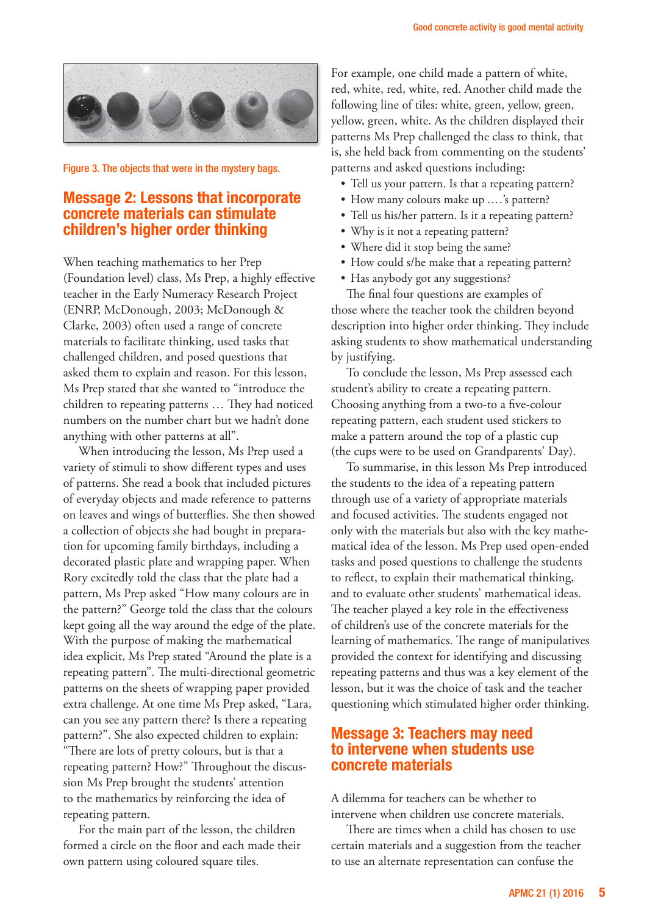

Figure 3. The objects that were in the mystery bags.

#### **Message 2: Lessons that incorporate concrete materials can stimulate children's higher order thinking**

When teaching mathematics to her Prep (Foundation level) class, Ms Prep, a highly effective teacher in the Early Numeracy Research Project (ENRP, McDonough, 2003; McDonough & Clarke, 2003) often used a range of concrete materials to facilitate thinking, used tasks that challenged children, and posed questions that asked them to explain and reason. For this lesson, Ms Prep stated that she wanted to "introduce the children to repeating patterns … They had noticed numbers on the number chart but we hadn't done anything with other patterns at all".

When introducing the lesson, Ms Prep used a variety of stimuli to show different types and uses of patterns. She read a book that included pictures of everyday objects and made reference to patterns on leaves and wings of butterflies. She then showed a collection of objects she had bought in preparation for upcoming family birthdays, including a decorated plastic plate and wrapping paper. When Rory excitedly told the class that the plate had a pattern, Ms Prep asked "How many colours are in the pattern?" George told the class that the colours kept going all the way around the edge of the plate. With the purpose of making the mathematical idea explicit, Ms Prep stated "Around the plate is a repeating pattern". The multi-directional geometric patterns on the sheets of wrapping paper provided extra challenge. At one time Ms Prep asked, "Lara, can you see any pattern there? Is there a repeating pattern?". She also expected children to explain: "There are lots of pretty colours, but is that a repeating pattern? How?" Throughout the discussion Ms Prep brought the students' attention to the mathematics by reinforcing the idea of repeating pattern.

For the main part of the lesson, the children formed a circle on the floor and each made their own pattern using coloured square tiles.

For example, one child made a pattern of white, red, white, red, white, red. Another child made the following line of tiles: white, green, yellow, green, yellow, green, white. As the children displayed their patterns Ms Prep challenged the class to think, that is, she held back from commenting on the students' patterns and asked questions including:

- Tell us your pattern. Is that a repeating pattern?
- How many colours make up ....'s pattern?
- • Tell us his/her pattern. Is it a repeating pattern?
- Why is it not a repeating pattern?
- Where did it stop being the same?
- How could s/he make that a repeating pattern?
- Has anybody got any suggestions?

The final four questions are examples of those where the teacher took the children beyond description into higher order thinking. They include asking students to show mathematical understanding by justifying.

To conclude the lesson, Ms Prep assessed each student's ability to create a repeating pattern. Choosing anything from a two-to a five-colour repeating pattern, each student used stickers to make a pattern around the top of a plastic cup (the cups were to be used on Grandparents' Day).

To summarise, in this lesson Ms Prep introduced the students to the idea of a repeating pattern through use of a variety of appropriate materials and focused activities. The students engaged not only with the materials but also with the key mathematical idea of the lesson. Ms Prep used open-ended tasks and posed questions to challenge the students to reflect, to explain their mathematical thinking, and to evaluate other students' mathematical ideas. The teacher played a key role in the effectiveness of children's use of the concrete materials for the learning of mathematics. The range of manipulatives provided the context for identifying and discussing repeating patterns and thus was a key element of the lesson, but it was the choice of task and the teacher questioning which stimulated higher order thinking.

### **Message 3: Teachers may need to intervene when students use concrete materials**

A dilemma for teachers can be whether to intervene when children use concrete materials.

There are times when a child has chosen to use certain materials and a suggestion from the teacher to use an alternate representation can confuse the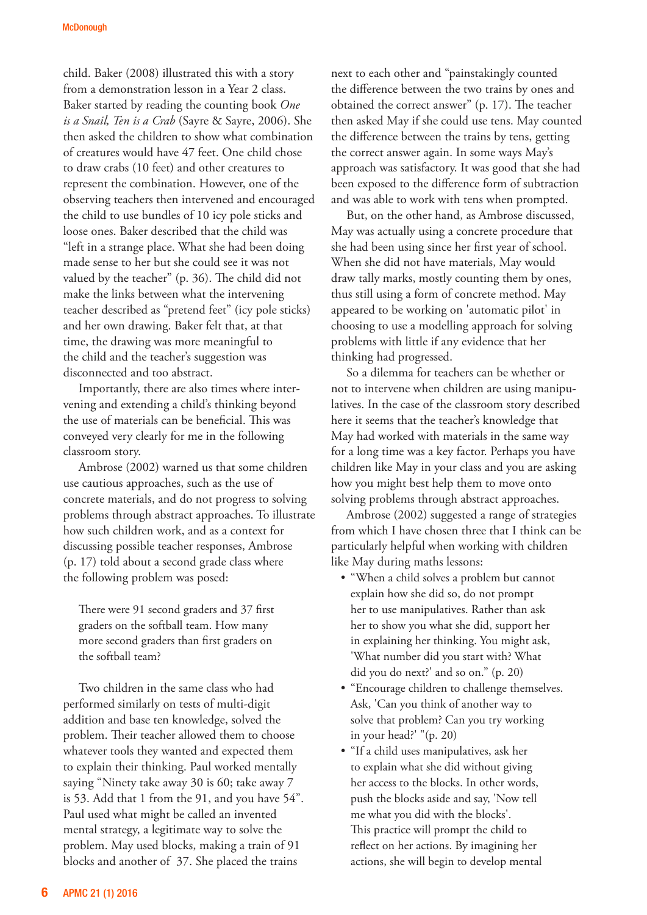child. Baker (2008) illustrated this with a story from a demonstration lesson in a Year 2 class. Baker started by reading the counting book *One is a Snail, Ten is a Crab* (Sayre & Sayre, 2006). She then asked the children to show what combination of creatures would have 47 feet. One child chose to draw crabs (10 feet) and other creatures to represent the combination. However, one of the observing teachers then intervened and encouraged the child to use bundles of 10 icy pole sticks and loose ones. Baker described that the child was "left in a strange place. What she had been doing made sense to her but she could see it was not valued by the teacher" (p. 36). The child did not make the links between what the intervening teacher described as "pretend feet" (icy pole sticks) and her own drawing. Baker felt that, at that time, the drawing was more meaningful to the child and the teacher's suggestion was disconnected and too abstract.

Importantly, there are also times where intervening and extending a child's thinking beyond the use of materials can be beneficial. This was conveyed very clearly for me in the following classroom story.

Ambrose (2002) warned us that some children use cautious approaches, such as the use of concrete materials, and do not progress to solving problems through abstract approaches. To illustrate how such children work, and as a context for discussing possible teacher responses, Ambrose (p. 17) told about a second grade class where the following problem was posed:

There were 91 second graders and 37 first graders on the softball team. How many more second graders than first graders on the softball team?

Two children in the same class who had performed similarly on tests of multi-digit addition and base ten knowledge, solved the problem. Their teacher allowed them to choose whatever tools they wanted and expected them to explain their thinking. Paul worked mentally saying "Ninety take away 30 is 60; take away 7 is 53. Add that 1 from the 91, and you have 54". Paul used what might be called an invented mental strategy, a legitimate way to solve the problem. May used blocks, making a train of 91 blocks and another of 37. She placed the trains

next to each other and "painstakingly counted the difference between the two trains by ones and obtained the correct answer" (p. 17). The teacher then asked May if she could use tens. May counted the difference between the trains by tens, getting the correct answer again. In some ways May's approach was satisfactory. It was good that she had been exposed to the difference form of subtraction and was able to work with tens when prompted.

But, on the other hand, as Ambrose discussed, May was actually using a concrete procedure that she had been using since her first year of school. When she did not have materials, May would draw tally marks, mostly counting them by ones, thus still using a form of concrete method. May appeared to be working on 'automatic pilot' in choosing to use a modelling approach for solving problems with little if any evidence that her thinking had progressed.

So a dilemma for teachers can be whether or not to intervene when children are using manipulatives. In the case of the classroom story described here it seems that the teacher's knowledge that May had worked with materials in the same way for a long time was a key factor. Perhaps you have children like May in your class and you are asking how you might best help them to move onto solving problems through abstract approaches.

Ambrose (2002) suggested a range of strategies from which I have chosen three that I think can be particularly helpful when working with children like May during maths lessons:

- "When a child solves a problem but cannot explain how she did so, do not prompt her to use manipulatives. Rather than ask her to show you what she did, support her in explaining her thinking. You might ask, 'What number did you start with? What did you do next?' and so on." (p. 20)
- "Encourage children to challenge themselves. Ask, 'Can you think of another way to solve that problem? Can you try working in your head?' "(p. 20)
- • "If a child uses manipulatives, ask her to explain what she did without giving her access to the blocks. In other words, push the blocks aside and say, 'Now tell me what you did with the blocks'. This practice will prompt the child to reflect on her actions. By imagining her actions, she will begin to develop mental